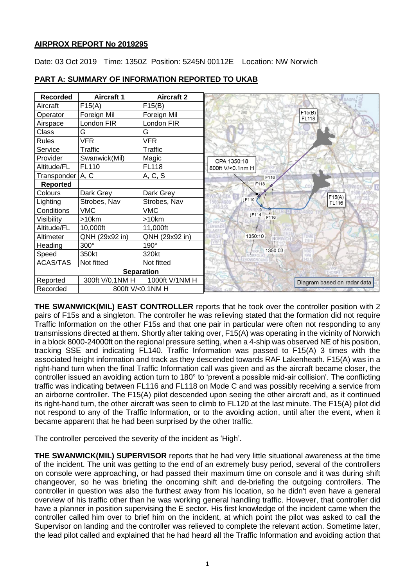## **AIRPROX REPORT No 2019295**

Date: 03 Oct 2019 Time: 1350Z Position: 5245N 00112E Location: NW Norwich

| <b>Recorded</b>    | <b>Aircraft 1</b> | <b>Aircraft 2</b> |                              |
|--------------------|-------------------|-------------------|------------------------------|
| Aircraft           | F15(A)            | F15(B)            |                              |
| Operator           | Foreign Mil       | Foreign Mil       | F15(B)<br><b>FL118</b>       |
| Airspace           | London FIR        | London FIR        |                              |
| Class              | G                 | G                 |                              |
| <b>Rules</b>       | <b>VFR</b>        | <b>VFR</b>        |                              |
| Service            | <b>Traffic</b>    | Traffic           |                              |
| Provider           | Swanwick(Mil)     | Magic             | CPA 1350:18                  |
| Altitude/FL        | FL110             | <b>FL118</b>      | 800ft V/<0.1nm H             |
| Transponder   A, C |                   | A, C, S           | F116                         |
| <b>Reported</b>    |                   |                   | F118                         |
| Colours            | Dark Grey         | Dark Grey         | F15(A)                       |
| Lighting           | Strobes, Nav      | Strobes, Nav      | <b>IF110</b><br><b>FL116</b> |
| Conditions         | <b>VMC</b>        | <b>VMC</b>        | <b>IF114</b>                 |
| Visibility         | >10km             | >10km             | F116                         |
| Altitude/FL        | 10,000ft          | 11,000ft          |                              |
| Altimeter          | QNH (29x92 in)    | QNH (29x92 in)    | 1350:10                      |
| Heading            | 300°              | 190°              |                              |
| Speed              | 350kt             | 320kt             | 1350:03                      |
| <b>ACAS/TAS</b>    | Not fitted        | Not fitted        |                              |
|                    |                   | <b>Separation</b> |                              |
| Reported           | 300ft V/0.1NM H   | 1000ft V/1NM H    | Diagram based on radar data  |
| Recorded           |                   | 800ft V/<0.1NM H  |                              |

# **PART A: SUMMARY OF INFORMATION REPORTED TO UKAB**

**THE SWANWICK(MIL) EAST CONTROLLER** reports that he took over the controller position with 2 pairs of F15s and a singleton. The controller he was relieving stated that the formation did not require Traffic Information on the other F15s and that one pair in particular were often not responding to any transmissions directed at them. Shortly after taking over, F15(A) was operating in the vicinity of Norwich in a block 8000-24000ft on the regional pressure setting, when a 4-ship was observed NE of his position, tracking SSE and indicating FL140. Traffic Information was passed to F15(A) 3 times with the associated height information and track as they descended towards RAF Lakenheath. F15(A) was in a right-hand turn when the final Traffic Information call was given and as the aircraft became closer, the controller issued an avoiding action turn to 180° to 'prevent a possible mid-air collision'. The conflicting traffic was indicating between FL116 and FL118 on Mode C and was possibly receiving a service from an airborne controller. The F15(A) pilot descended upon seeing the other aircraft and, as it continued its right-hand turn, the other aircraft was seen to climb to FL120 at the last minute. The F15(A) pilot did not respond to any of the Traffic Information, or to the avoiding action, until after the event, when it became apparent that he had been surprised by the other traffic.

The controller perceived the severity of the incident as 'High'.

**THE SWANWICK(MIL) SUPERVISOR** reports that he had very little situational awareness at the time of the incident. The unit was getting to the end of an extremely busy period, several of the controllers on console were approaching, or had passed their maximum time on console and it was during shift changeover, so he was briefing the oncoming shift and de-briefing the outgoing controllers. The controller in question was also the furthest away from his location, so he didn't even have a general overview of his traffic other than he was working general handling traffic. However, that controller did have a planner in position supervising the E sector. His first knowledge of the incident came when the controller called him over to brief him on the incident, at which point the pilot was asked to call the Supervisor on landing and the controller was relieved to complete the relevant action. Sometime later, the lead pilot called and explained that he had heard all the Traffic Information and avoiding action that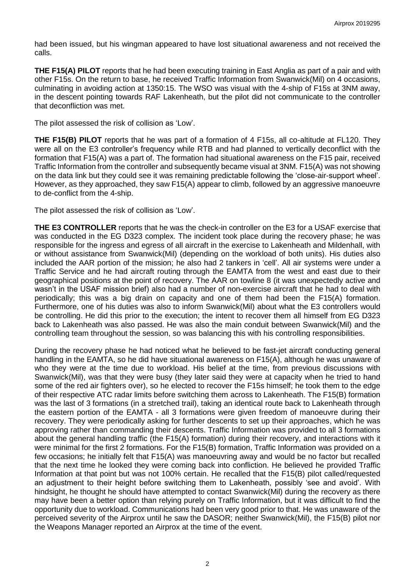had been issued, but his wingman appeared to have lost situational awareness and not received the calls.

**THE F15(A) PILOT** reports that he had been executing training in East Anglia as part of a pair and with other F15s. On the return to base, he received Traffic Information from Swanwick(Mil) on 4 occasions, culminating in avoiding action at 1350:15. The WSO was visual with the 4-ship of F15s at 3NM away, in the descent pointing towards RAF Lakenheath, but the pilot did not communicate to the controller that deconfliction was met.

The pilot assessed the risk of collision as 'Low'.

**THE F15(B) PILOT** reports that he was part of a formation of 4 F15s, all co-altitude at FL120. They were all on the E3 controller's frequency while RTB and had planned to vertically deconflict with the formation that F15(A) was a part of. The formation had situational awareness on the F15 pair, received Traffic Information from the controller and subsequently became visual at 3NM. F15(A) was not showing on the data link but they could see it was remaining predictable following the 'close-air-support wheel'. However, as they approached, they saw F15(A) appear to climb, followed by an aggressive manoeuvre to de-conflict from the 4-ship.

The pilot assessed the risk of collision as 'Low'.

**THE E3 CONTROLLER** reports that he was the check-in controller on the E3 for a USAF exercise that was conducted in the EG D323 complex. The incident took place during the recovery phase; he was responsible for the ingress and egress of all aircraft in the exercise to Lakenheath and Mildenhall, with or without assistance from Swanwick(Mil) (depending on the workload of both units). His duties also included the AAR portion of the mission; he also had 2 tankers in 'cell'. All air systems were under a Traffic Service and he had aircraft routing through the EAMTA from the west and east due to their geographical positions at the point of recovery. The AAR on towline 8 (it was unexpectedly active and wasn't in the USAF mission brief) also had a number of non-exercise aircraft that he had to deal with periodically; this was a big drain on capacity and one of them had been the F15(A) formation. Furthermore, one of his duties was also to inform Swanwick(Mil) about what the E3 controllers would be controlling. He did this prior to the execution; the intent to recover them all himself from EG D323 back to Lakenheath was also passed. He was also the main conduit between Swanwick(Mil) and the controlling team throughout the session, so was balancing this with his controlling responsibilities.

During the recovery phase he had noticed what he believed to be fast-jet aircraft conducting general handling in the EAMTA, so he did have situational awareness on F15(A), although he was unaware of who they were at the time due to workload. His belief at the time, from previous discussions with Swanwick(Mil), was that they were busy (they later said they were at capacity when he tried to hand some of the red air fighters over), so he elected to recover the F15s himself; he took them to the edge of their respective ATC radar limits before switching them across to Lakenheath. The F15(B) formation was the last of 3 formations (in a stretched trail), taking an identical route back to Lakenheath through the eastern portion of the EAMTA - all 3 formations were given freedom of manoeuvre during their recovery. They were periodically asking for further descents to set up their approaches, which he was approving rather than commanding their descents. Traffic Information was provided to all 3 formations about the general handling traffic (the F15(A) formation) during their recovery, and interactions with it were minimal for the first 2 formations. For the F15(B) formation, Traffic Information was provided on a few occasions; he initially felt that F15(A) was manoeuvring away and would be no factor but recalled that the next time he looked they were coming back into confliction. He believed he provided Traffic Information at that point but was not 100% certain. He recalled that the F15(B) pilot called/requested an adjustment to their height before switching them to Lakenheath, possibly 'see and avoid'. With hindsight, he thought he should have attempted to contact Swanwick(Mil) during the recovery as there may have been a better option than relying purely on Traffic Information, but it was difficult to find the opportunity due to workload. Communications had been very good prior to that. He was unaware of the perceived severity of the Airprox until he saw the DASOR; neither Swanwick(Mil), the F15(B) pilot nor the Weapons Manager reported an Airprox at the time of the event.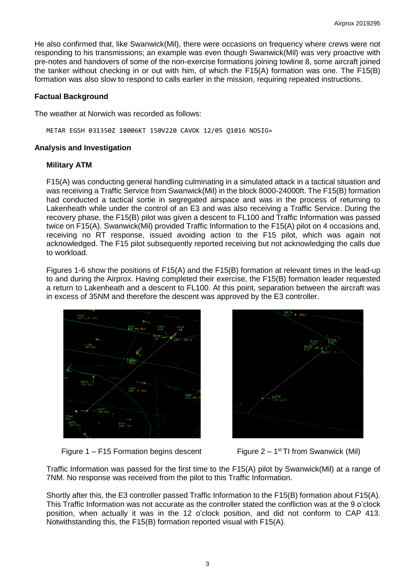He also confirmed that, like Swanwick(Mil), there were occasions on frequency where crews were not responding to his transmissions; an example was even though Swanwick(Mil) was very proactive with pre-notes and handovers of some of the non-exercise formations joining towline 8, some aircraft joined the tanker without checking in or out with him, of which the F15(A) formation was one. The F15(B) formation was also slow to respond to calls earlier in the mission, requiring repeated instructions.

#### **Factual Background**

The weather at Norwich was recorded as follows:

METAR EGSH 031350Z 18006KT 150V220 CAVOK 12/05 Q1016 NOSIG=

#### **Analysis and Investigation**

## **Military ATM**

F15(A) was conducting general handling culminating in a simulated attack in a tactical situation and was receiving a Traffic Service from Swanwick(Mil) in the block 8000-24000ft. The F15(B) formation had conducted a tactical sortie in segregated airspace and was in the process of returning to Lakenheath while under the control of an E3 and was also receiving a Traffic Service. During the recovery phase, the F15(B) pilot was given a descent to FL100 and Traffic Information was passed twice on F15(A). Swanwick(Mil) provided Traffic Information to the F15(A) pilot on 4 occasions and, receiving no RT response, issued avoiding action to the F15 pilot, which was again not acknowledged. The F15 pilot subsequently reported receiving but not acknowledging the calls due to workload.

Figures 1-6 show the positions of F15(A) and the F15(B) formation at relevant times in the lead-up to and during the Airprox. Having completed their exercise, the F15(B) formation leader requested a return to Lakenheath and a descent to FL100. At this point, separation between the aircraft was in excess of 35NM and therefore the descent was approved by the E3 controller.



Figure  $1 - F15$  Formation begins descent



Figure  $2 - 1$ <sup>st</sup> TI from Swanwick (Mil)

Traffic Information was passed for the first time to the F15(A) pilot by Swanwick(Mil) at a range of 7NM. No response was received from the pilot to this Traffic Information.

Shortly after this, the E3 controller passed Traffic Information to the F15(B) formation about F15(A). This Traffic Information was not accurate as the controller stated the confliction was at the 9 o'clock position, when actually it was in the 12 o'clock position, and did not conform to CAP 413. Notwithstanding this, the F15(B) formation reported visual with F15(A).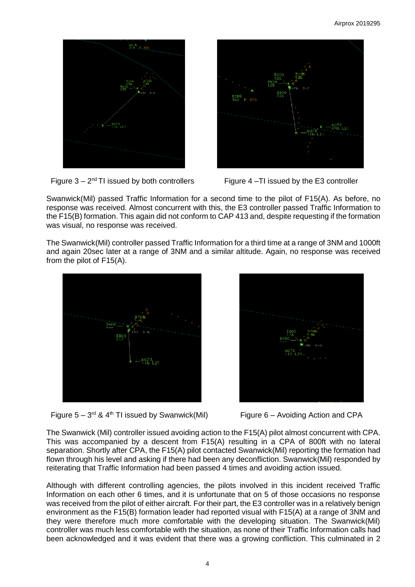

Figure  $3 - 2^{nd}$  TI issued by both controllers



Figure 4  $-$ TI issued by the E3 controller

Swanwick(Mil) passed Traffic Information for a second time to the pilot of F15(A). As before, no response was received. Almost concurrent with this, the E3 controller passed Traffic Information to the F15(B) formation. This again did not conform to CAP 413 and, despite requesting if the formation was visual, no response was received.

The Swanwick(Mil) controller passed Traffic Information for a third time at a range of 3NM and 1000ft and again 20sec later at a range of 3NM and a similar altitude. Again, no response was received from the pilot of F15(A).



Figure  $5 - 3^{rd}$  & 4<sup>th</sup> TI issued by Swanwick(Mil)



Figure  $6 -$  Avoiding Action and CPA

The Swanwick (Mil) controller issued avoiding action to the F15(A) pilot almost concurrent with CPA. This was accompanied by a descent from F15(A) resulting in a CPA of 800ft with no lateral separation. Shortly after CPA, the F15(A) pilot contacted Swanwick(Mil) reporting the formation had flown through his level and asking if there had been any deconfliction. Swanwick(Mil) responded by reiterating that Traffic Information had been passed 4 times and avoiding action issued.

Although with different controlling agencies, the pilots involved in this incident received Traffic Information on each other 6 times, and it is unfortunate that on 5 of those occasions no response was received from the pilot of either aircraft. For their part, the E3 controller was in a relatively benign environment as the F15(B) formation leader had reported visual with F15(A) at a range of 3NM and they were therefore much more comfortable with the developing situation. The Swanwick(Mil) controller was much less comfortable with the situation, as none of their Traffic Information calls had been acknowledged and it was evident that there was a growing confliction. This culminated in 2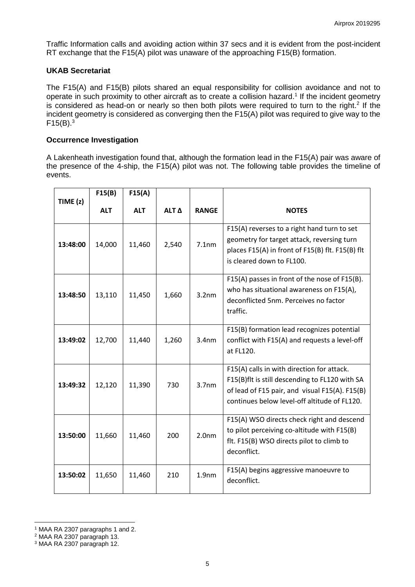Traffic Information calls and avoiding action within 37 secs and it is evident from the post-incident RT exchange that the F15(A) pilot was unaware of the approaching F15(B) formation.

## **UKAB Secretariat**

The F15(A) and F15(B) pilots shared an equal responsibility for collision avoidance and not to operate in such proximity to other aircraft as to create a collision hazard.<sup>1</sup> If the incident geometry is considered as head-on or nearly so then both pilots were required to turn to the right.<sup>2</sup> If the incident geometry is considered as converging then the F15(A) pilot was required to give way to the  $F15(B).$ <sup>3</sup>

#### **Occurrence Investigation**

A Lakenheath investigation found that, although the formation lead in the F15(A) pair was aware of the presence of the 4-ship, the F15(A) pilot was not. The following table provides the timeline of events.

|            | F15(B)     | F15(A)     |       |                   |                                                                                                                                                                                                |
|------------|------------|------------|-------|-------------------|------------------------------------------------------------------------------------------------------------------------------------------------------------------------------------------------|
| TIME $(z)$ | <b>ALT</b> | <b>ALT</b> | ALT Δ | <b>RANGE</b>      | <b>NOTES</b>                                                                                                                                                                                   |
| 13:48:00   | 14,000     | 11,460     | 2,540 | 7.1nm             | F15(A) reverses to a right hand turn to set<br>geometry for target attack, reversing turn<br>places F15(A) in front of F15(B) flt. F15(B) flt<br>is cleared down to FL100.                     |
| 13:48:50   | 13,110     | 11,450     | 1,660 | 3.2 <sub>nm</sub> | F15(A) passes in front of the nose of F15(B).<br>who has situational awareness on F15(A),<br>deconflicted 5nm. Perceives no factor<br>traffic.                                                 |
| 13:49:02   | 12,700     | 11,440     | 1,260 | 3.4 <sub>nm</sub> | F15(B) formation lead recognizes potential<br>conflict with F15(A) and requests a level-off<br>at FL120.                                                                                       |
| 13:49:32   | 12,120     | 11,390     | 730   | 3.7 <sub>nm</sub> | F15(A) calls in with direction for attack.<br>F15(B)flt is still descending to FL120 with SA<br>of lead of F15 pair, and visual F15(A). F15(B)<br>continues below level-off altitude of FL120. |
| 13:50:00   | 11,660     | 11,460     | 200   | 2.0 <sub>nm</sub> | F15(A) WSO directs check right and descend<br>to pilot perceiving co-altitude with F15(B)<br>flt. F15(B) WSO directs pilot to climb to<br>deconflict.                                          |
| 13:50:02   | 11,650     | 11,460     | 210   | 1.9 <sub>nm</sub> | F15(A) begins aggressive manoeuvre to<br>deconflict.                                                                                                                                           |

 $\overline{\phantom{a}}$ <sup>1</sup> MAA RA 2307 paragraphs 1 and 2.

<sup>2</sup> MAA RA 2307 paragraph 13.

<sup>3</sup> MAA RA 2307 paragraph 12.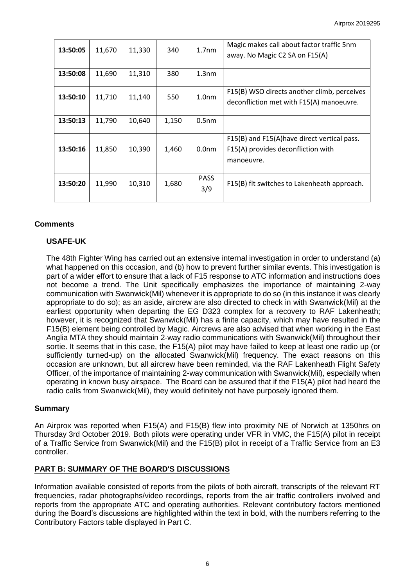| 13:50:05 | 11,670 | 11,330 | 340   | 1.7 <sub>nm</sub>  | Magic makes call about factor traffic 5nm<br>away. No Magic C2 SA on F15(A)                      |
|----------|--------|--------|-------|--------------------|--------------------------------------------------------------------------------------------------|
| 13:50:08 | 11,690 | 11,310 | 380   | 1.3 <sub>nm</sub>  |                                                                                                  |
| 13:50:10 | 11,710 | 11,140 | 550   | 1.0 <sub>nm</sub>  | F15(B) WSO directs another climb, perceives<br>deconfliction met with F15(A) manoeuvre.          |
| 13:50:13 | 11,790 | 10,640 | 1,150 | 0.5 <sub>nm</sub>  |                                                                                                  |
| 13:50:16 | 11,850 | 10,390 | 1,460 | 0.0 <sub>nm</sub>  | F15(B) and F15(A) have direct vertical pass.<br>F15(A) provides deconfliction with<br>manoeuvre. |
| 13:50:20 | 11,990 | 10,310 | 1,680 | <b>PASS</b><br>3/9 | F15(B) flt switches to Lakenheath approach.                                                      |

#### **Comments**

## **USAFE-UK**

The 48th Fighter Wing has carried out an extensive internal investigation in order to understand (a) what happened on this occasion, and (b) how to prevent further similar events. This investigation is part of a wider effort to ensure that a lack of F15 response to ATC information and instructions does not become a trend. The Unit specifically emphasizes the importance of maintaining 2-way communication with Swanwick(Mil) whenever it is appropriate to do so (in this instance it was clearly appropriate to do so); as an aside, aircrew are also directed to check in with Swanwick(Mil) at the earliest opportunity when departing the EG D323 complex for a recovery to RAF Lakenheath; however, it is recognized that Swanwick(Mil) has a finite capacity, which may have resulted in the F15(B) element being controlled by Magic. Aircrews are also advised that when working in the East Anglia MTA they should maintain 2-way radio communications with Swanwick(Mil) throughout their sortie. It seems that in this case, the F15(A) pilot may have failed to keep at least one radio up (or sufficiently turned-up) on the allocated Swanwick(Mil) frequency. The exact reasons on this occasion are unknown, but all aircrew have been reminded, via the RAF Lakenheath Flight Safety Officer, of the importance of maintaining 2-way communication with Swanwick(Mil), especially when operating in known busy airspace. The Board can be assured that if the F15(A) pilot had heard the radio calls from Swanwick(Mil), they would definitely not have purposely ignored them*.* 

## **Summary**

An Airprox was reported when F15(A) and F15(B) flew into proximity NE of Norwich at 1350hrs on Thursday 3rd October 2019. Both pilots were operating under VFR in VMC, the F15(A) pilot in receipt of a Traffic Service from Swanwick(Mil) and the F15(B) pilot in receipt of a Traffic Service from an E3 controller.

## **PART B: SUMMARY OF THE BOARD'S DISCUSSIONS**

Information available consisted of reports from the pilots of both aircraft, transcripts of the relevant RT frequencies, radar photographs/video recordings, reports from the air traffic controllers involved and reports from the appropriate ATC and operating authorities. Relevant contributory factors mentioned during the Board's discussions are highlighted within the text in bold, with the numbers referring to the Contributory Factors table displayed in Part C.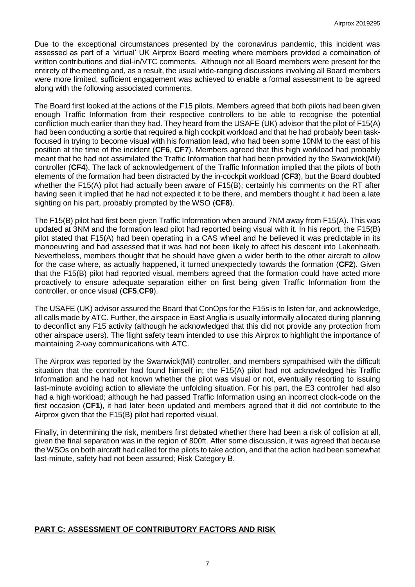Due to the exceptional circumstances presented by the coronavirus pandemic, this incident was assessed as part of a 'virtual' UK Airprox Board meeting where members provided a combination of written contributions and dial-in/VTC comments. Although not all Board members were present for the entirety of the meeting and, as a result, the usual wide-ranging discussions involving all Board members were more limited, sufficient engagement was achieved to enable a formal assessment to be agreed along with the following associated comments.

The Board first looked at the actions of the F15 pilots. Members agreed that both pilots had been given enough Traffic Information from their respective controllers to be able to recognise the potential confliction much earlier than they had. They heard from the USAFE (UK) advisor that the pilot of F15(A) had been conducting a sortie that required a high cockpit workload and that he had probably been taskfocused in trying to become visual with his formation lead, who had been some 10NM to the east of his position at the time of the incident (**CF6**, **CF7**). Members agreed that this high workload had probably meant that he had not assimilated the Traffic Information that had been provided by the Swanwick(Mil) controller (**CF4**). The lack of acknowledgement of the Traffic Information implied that the pilots of both elements of the formation had been distracted by the in-cockpit workload (**CF3**), but the Board doubted whether the F15(A) pilot had actually been aware of F15(B); certainly his comments on the RT after having seen it implied that he had not expected it to be there, and members thought it had been a late sighting on his part, probably prompted by the WSO (**CF8**).

The F15(B) pilot had first been given Traffic Information when around 7NM away from F15(A). This was updated at 3NM and the formation lead pilot had reported being visual with it. In his report, the F15(B) pilot stated that F15(A) had been operating in a CAS wheel and he believed it was predictable in its manoeuvring and had assessed that it was had not been likely to affect his descent into Lakenheath. Nevertheless, members thought that he should have given a wider berth to the other aircraft to allow for the case where, as actually happened, it turned unexpectedly towards the formation (**CF2**). Given that the F15(B) pilot had reported visual, members agreed that the formation could have acted more proactively to ensure adequate separation either on first being given Traffic Information from the controller, or once visual (**CF5**,**CF9**).

The USAFE (UK) advisor assured the Board that ConOps for the F15s is to listen for, and acknowledge, all calls made by ATC. Further, the airspace in East Anglia is usually informally allocated during planning to deconflict any F15 activity (although he acknowledged that this did not provide any protection from other airspace users). The flight safety team intended to use this Airprox to highlight the importance of maintaining 2-way communications with ATC.

The Airprox was reported by the Swanwick(Mil) controller, and members sympathised with the difficult situation that the controller had found himself in; the F15(A) pilot had not acknowledged his Traffic Information and he had not known whether the pilot was visual or not, eventually resorting to issuing last-minute avoiding action to alleviate the unfolding situation. For his part, the E3 controller had also had a high workload; although he had passed Traffic Information using an incorrect clock-code on the first occasion (**CF1**), it had later been updated and members agreed that it did not contribute to the Airprox given that the F15(B) pilot had reported visual.

Finally, in determining the risk, members first debated whether there had been a risk of collision at all, given the final separation was in the region of 800ft. After some discussion, it was agreed that because the WSOs on both aircraft had called for the pilots to take action, and that the action had been somewhat last-minute, safety had not been assured; Risk Category B.

# **PART C: ASSESSMENT OF CONTRIBUTORY FACTORS AND RISK**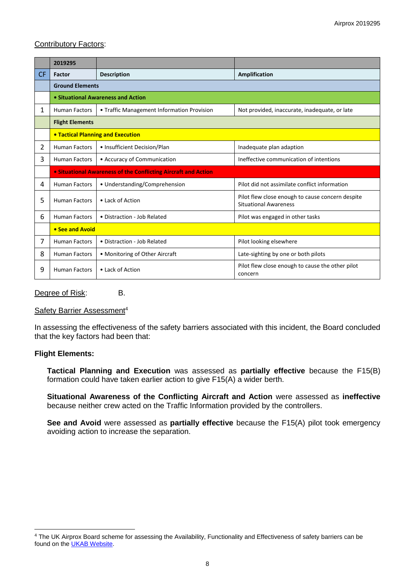# Contributory Factors:

|           | 2019295                                                        |                                            |                                                                                  |  |  |  |  |
|-----------|----------------------------------------------------------------|--------------------------------------------|----------------------------------------------------------------------------------|--|--|--|--|
| <b>CF</b> | Factor                                                         | <b>Description</b>                         | Amplification                                                                    |  |  |  |  |
|           | <b>Ground Elements</b>                                         |                                            |                                                                                  |  |  |  |  |
|           | • Situational Awareness and Action                             |                                            |                                                                                  |  |  |  |  |
| 1         | <b>Human Factors</b>                                           | • Traffic Management Information Provision | Not provided, inaccurate, inadequate, or late                                    |  |  |  |  |
|           | <b>Flight Elements</b>                                         |                                            |                                                                                  |  |  |  |  |
|           | • Tactical Planning and Execution                              |                                            |                                                                                  |  |  |  |  |
| 2         | <b>Human Factors</b>                                           | • Insufficient Decision/Plan               | Inadequate plan adaption                                                         |  |  |  |  |
| 3         | <b>Human Factors</b>                                           | • Accuracy of Communication                | Ineffective communication of intentions                                          |  |  |  |  |
|           | • Situational Awareness of the Conflicting Aircraft and Action |                                            |                                                                                  |  |  |  |  |
| 4         | <b>Human Factors</b>                                           | • Understanding/Comprehension              | Pilot did not assimilate conflict information                                    |  |  |  |  |
| 5         | <b>Human Factors</b>                                           | • Lack of Action                           | Pilot flew close enough to cause concern despite<br><b>Situational Awareness</b> |  |  |  |  |
| 6         | <b>Human Factors</b>                                           | • Distraction - Job Related                | Pilot was engaged in other tasks                                                 |  |  |  |  |
|           | • See and Avoid                                                |                                            |                                                                                  |  |  |  |  |
| 7         | <b>Human Factors</b>                                           | • Distraction - Job Related                | Pilot looking elsewhere                                                          |  |  |  |  |
| 8         | <b>Human Factors</b>                                           | • Monitoring of Other Aircraft             | Late-sighting by one or both pilots                                              |  |  |  |  |
| 9         | <b>Human Factors</b>                                           | • Lack of Action                           | Pilot flew close enough to cause the other pilot<br>concern                      |  |  |  |  |

Degree of Risk: B.

#### Safety Barrier Assessment<sup>4</sup>

In assessing the effectiveness of the safety barriers associated with this incident, the Board concluded that the key factors had been that:

#### **Flight Elements:**

 $\overline{a}$ 

**Tactical Planning and Execution** was assessed as **partially effective** because the F15(B) formation could have taken earlier action to give F15(A) a wider berth.

**Situational Awareness of the Conflicting Aircraft and Action** were assessed as **ineffective** because neither crew acted on the Traffic Information provided by the controllers.

**See and Avoid** were assessed as **partially effective** because the F15(A) pilot took emergency avoiding action to increase the separation.

<sup>&</sup>lt;sup>4</sup> The UK Airprox Board scheme for assessing the Availability, Functionality and Effectiveness of safety barriers can be found on the **UKAB Website**.